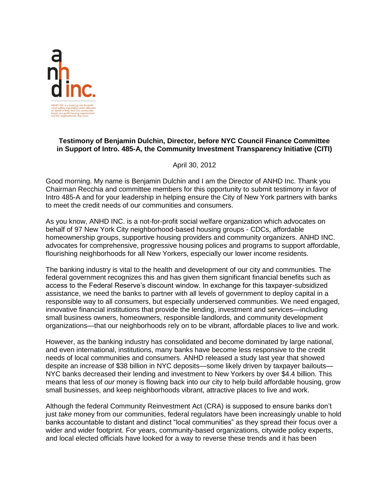

## **Testimony of Benjamin Dulchin, Director, before NYC Council Finance Committee in Support of Intro. 485-A, the Community Investment Transparency Initiative (CITI)**

April 30, 2012

Good morning. My name is Benjamin Dulchin and I am the Director of ANHD Inc. Thank you Chairman Recchia and committee members for this opportunity to submit testimony in favor of Intro 485-A and for your leadership in helping ensure the City of New York partners with banks to meet the credit needs of our communities and consumers.

As you know, ANHD INC. is a not-for-profit social welfare organization which advocates on behalf of 97 New York City neighborhood-based housing groups - CDCs, affordable homeownership groups, supportive housing providers and community organizers. ANHD INC. advocates for comprehensive, progressive housing polices and programs to support affordable, flourishing neighborhoods for all New Yorkers, especially our lower income residents.

The banking industry is vital to the health and development of our city and communities. The federal government recognizes this and has given them significant financial benefits such as access to the Federal Reserve's discount window. In exchange for this taxpayer-subsidized assistance, we need the banks to partner with all levels of government to deploy capital in a responsible way to all consumers, but especially underserved communities. We need engaged, innovative financial institutions that provide the lending, investment and services—including small business owners, homeowners, responsible landlords, and community development organizations—that our neighborhoods rely on to be vibrant, affordable places to live and work.

However, as the banking industry has consolidated and become dominated by large national, and even international, institutions, many banks have become less responsive to the credit needs of local communities and consumers. ANHD released a study last year that showed despite an increase of \$38 billion in NYC deposits—some likely driven by taxpayer bailouts— NYC banks decreased their lending and investment to New Yorkers by over \$4.4 billion. This means that less of *our* money is flowing back into *our* city to help build affordable housing, grow small businesses, and keep neighborhoods vibrant, attractive places to live and work.

Although the federal Community Reinvestment Act (CRA) is supposed to ensure banks don't just *take* money from our communities, federal regulators have been increasingly unable to hold banks accountable to distant and distinct "local communities" as they spread their focus over a wider and wider footprint. For years, community-based organizations, citywide policy experts, and local elected officials have looked for a way to reverse these trends and it has been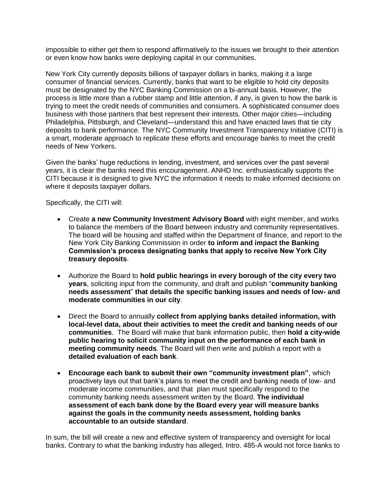impossible to either get them to respond affirmatively to the issues we brought to their attention or even know how banks were deploying capital in our communities.

New York City currently deposits billions of taxpayer dollars in banks, making it a large consumer of financial services. Currently, banks that want to be eligible to hold city deposits must be designated by the NYC Banking Commission on a bi-annual basis. However, the process is little more than a rubber stamp and little attention, if any, is given to how the bank is trying to meet the credit needs of communities and consumers. A sophisticated consumer does business with those partners that best represent their interests. Other major cities—including Philadelphia, Pittsburgh, and Cleveland—understand this and have enacted laws that tie city deposits to bank performance. The NYC Community Investment Transparency Initiative (CITI) is a smart, moderate approach to replicate these efforts and encourage banks to meet the credit needs of New Yorkers.

Given the banks' huge reductions in lending, investment, and services over the past several years, it is clear the banks need this encouragement. ANHD Inc. enthusiastically supports the CITI because it is designed to give NYC the information it needs to make informed decisions on where it deposits taxpayer dollars.

Specifically, the CITI will:

- Create **a new Community Investment Advisory Board** with eight member, and works to balance the members of the Board between industry and community representatives. The board will be housing and staffed within the Department of finance, and report to the New York City Banking Commission in order **to inform and impact the Banking Commission's process designating banks that apply to receive New York City treasury deposits**.
- Authorize the Board to **hold public hearings in every borough of the city every two years**, soliciting input from the community, and draft and publish "**community banking needs assessment**‖ **that details the specific banking issues and needs of low- and moderate communities in our city**.
- Direct the Board to annually **collect from applying banks detailed information, with local-level data, about their activities to meet the credit and banking needs of our communities**. The Board will make that bank information public, then **hold a city-wide public hearing to solicit community input on the performance of each bank in meeting community needs**. The Board will then write and publish a report with a **detailed evaluation of each bank**.
- **Encourage each bank to submit their own "community investment plan"**, which proactively lays out that bank's plans to meet the credit and banking needs of low- and moderate income communities, and that plan must specifically respond to the community banking needs assessment written by the Board. **The individual assessment of each bank done by the Board every year will measure banks against the goals in the community needs assessment, holding banks accountable to an outside standard**.

In sum, the bill will create a new and effective system of transparency and oversight for local banks. Contrary to what the banking industry has alleged, Intro. 485-A would not force banks to